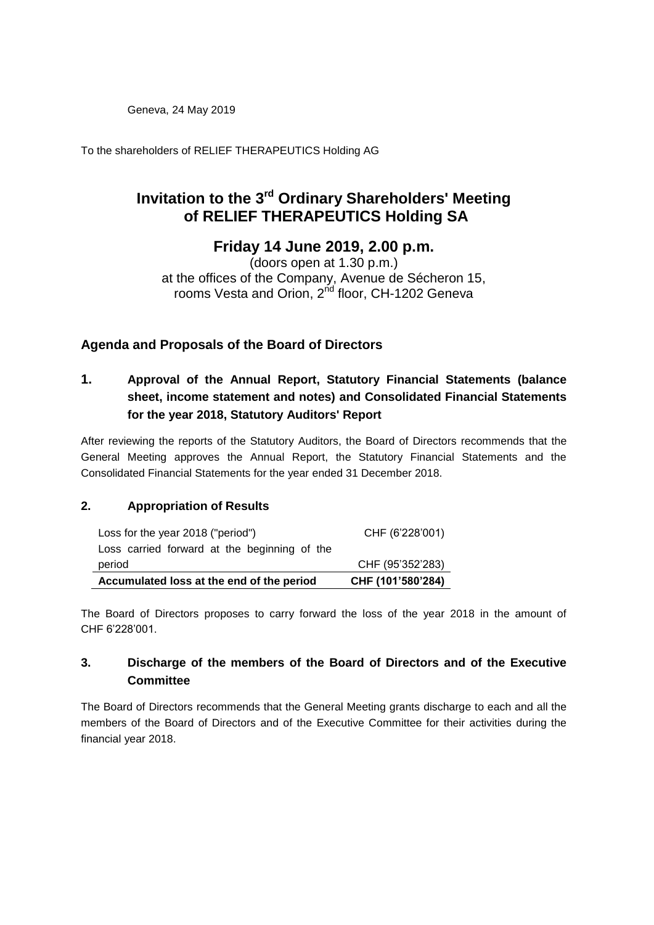Geneva, 24 May 2019

To the shareholders of RELIEF THERAPEUTICS Holding AG

# **Invitation to the 3 rd Ordinary Shareholders' Meeting of RELIEF THERAPEUTICS Holding SA**

## **Friday 14 June 2019, 2.00 p.m.**

(doors open at 1.30 p.m.) at the offices of the Company, Avenue de Sécheron 15, rooms Vesta and Orion, 2<sup>nd</sup> floor, CH-1202 Geneva

## **Agenda and Proposals of the Board of Directors**

## **1. Approval of the Annual Report, Statutory Financial Statements (balance sheet, income statement and notes) and Consolidated Financial Statements for the year 2018, Statutory Auditors' Report**

After reviewing the reports of the Statutory Auditors, the Board of Directors recommends that the General Meeting approves the Annual Report, the Statutory Financial Statements and the Consolidated Financial Statements for the year ended 31 December 2018.

### **2. Appropriation of Results**

| Accumulated loss at the end of the period    | CHF (101'580'284) |
|----------------------------------------------|-------------------|
| period                                       | CHF (95'352'283)  |
| Loss carried forward at the beginning of the |                   |
| Loss for the year 2018 ("period")            | CHF (6'228'001)   |

The Board of Directors proposes to carry forward the loss of the year 2018 in the amount of CHF 6'228'001.

### **3. Discharge of the members of the Board of Directors and of the Executive Committee**

The Board of Directors recommends that the General Meeting grants discharge to each and all the members of the Board of Directors and of the Executive Committee for their activities during the financial year 2018.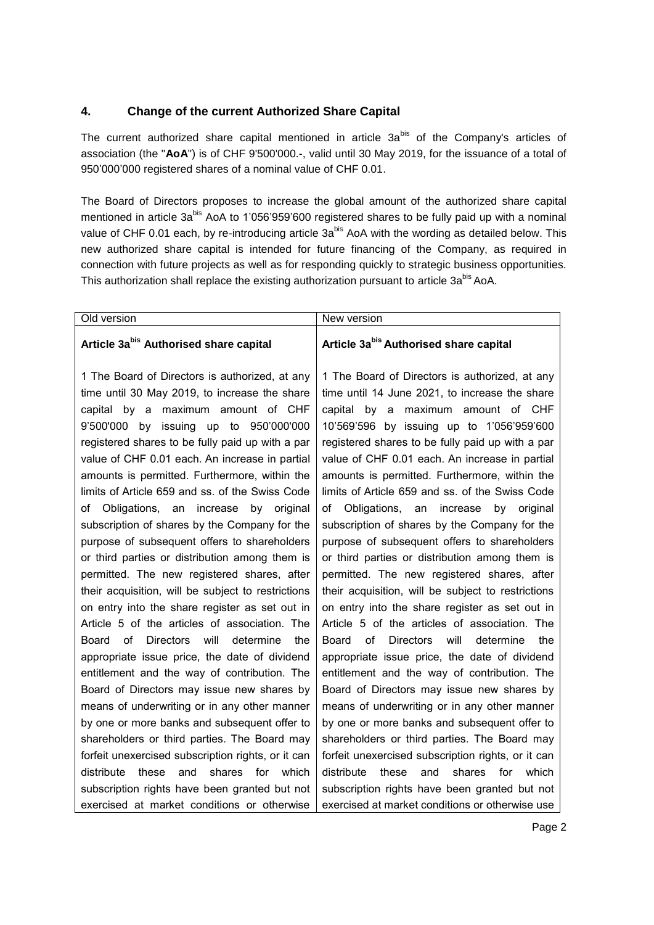#### **4. Change of the current Authorized Share Capital**

The current authorized share capital mentioned in article 3a<sup>bis</sup> of the Company's articles of association (the "**AoA**") is of CHF 9'500'000.-, valid until 30 May 2019, for the issuance of a total of 950'000'000 registered shares of a nominal value of CHF 0.01.

The Board of Directors proposes to increase the global amount of the authorized share capital mentioned in article 3a<sup>bis</sup> AoA to 1'056'959'600 registered shares to be fully paid up with a nominal value of CHF 0.01 each, by re-introducing article 3a<sup>bis</sup> AoA with the wording as detailed below. This new authorized share capital is intended for future financing of the Company, as required in connection with future projects as well as for responding quickly to strategic business opportunities. This authorization shall replace the existing authorization pursuant to article 3a<sup>bis</sup> AoA.

| Old version                                                                                                                                                                                                                                                                                                                                                                                                                                                                                                                                                                                                                                                                                                                                                                                                                                                                                                     | New version                                                                                                                                                                                                                                                                                                                                                                                                                                                                                                                                                                                                                                                                                                                                                                                                                                                                                                                     |
|-----------------------------------------------------------------------------------------------------------------------------------------------------------------------------------------------------------------------------------------------------------------------------------------------------------------------------------------------------------------------------------------------------------------------------------------------------------------------------------------------------------------------------------------------------------------------------------------------------------------------------------------------------------------------------------------------------------------------------------------------------------------------------------------------------------------------------------------------------------------------------------------------------------------|---------------------------------------------------------------------------------------------------------------------------------------------------------------------------------------------------------------------------------------------------------------------------------------------------------------------------------------------------------------------------------------------------------------------------------------------------------------------------------------------------------------------------------------------------------------------------------------------------------------------------------------------------------------------------------------------------------------------------------------------------------------------------------------------------------------------------------------------------------------------------------------------------------------------------------|
| Article 3abis Authorised share capital                                                                                                                                                                                                                                                                                                                                                                                                                                                                                                                                                                                                                                                                                                                                                                                                                                                                          | Article 3abis Authorised share capital                                                                                                                                                                                                                                                                                                                                                                                                                                                                                                                                                                                                                                                                                                                                                                                                                                                                                          |
| 1 The Board of Directors is authorized, at any<br>time until 30 May 2019, to increase the share<br>capital by a maximum amount of CHF<br>9'500'000 by issuing up to 950'000'000<br>registered shares to be fully paid up with a par<br>value of CHF 0.01 each. An increase in partial<br>amounts is permitted. Furthermore, within the<br>limits of Article 659 and ss. of the Swiss Code<br>Obligations, an increase<br>by<br>original<br>ot<br>subscription of shares by the Company for the<br>purpose of subsequent offers to shareholders<br>or third parties or distribution among them is<br>permitted. The new registered shares, after<br>their acquisition, will be subject to restrictions<br>on entry into the share register as set out in<br>Article 5 of the articles of association. The<br>Directors<br>will determine<br>Board<br>of<br>the.<br>appropriate issue price, the date of dividend | 1 The Board of Directors is authorized, at any<br>time until 14 June 2021, to increase the share<br>capital by a maximum amount of CHF<br>10'569'596 by issuing up to 1'056'959'600<br>registered shares to be fully paid up with a par<br>value of CHF 0.01 each. An increase in partial<br>amounts is permitted. Furthermore, within the<br>limits of Article 659 and ss. of the Swiss Code<br>Obligations, an<br>by<br>of<br>increase<br>original<br>subscription of shares by the Company for the<br>purpose of subsequent offers to shareholders<br>or third parties or distribution among them is<br>permitted. The new registered shares, after<br>their acquisition, will be subject to restrictions<br>on entry into the share register as set out in<br>Article 5 of the articles of association. The<br>of<br>will<br>Board<br><b>Directors</b><br>determine<br>the<br>appropriate issue price, the date of dividend |
| entitlement and the way of contribution. The<br>Board of Directors may issue new shares by                                                                                                                                                                                                                                                                                                                                                                                                                                                                                                                                                                                                                                                                                                                                                                                                                      | entitlement and the way of contribution. The<br>Board of Directors may issue new shares by                                                                                                                                                                                                                                                                                                                                                                                                                                                                                                                                                                                                                                                                                                                                                                                                                                      |
| means of underwriting or in any other manner<br>by one or more banks and subsequent offer to                                                                                                                                                                                                                                                                                                                                                                                                                                                                                                                                                                                                                                                                                                                                                                                                                    | means of underwriting or in any other manner<br>by one or more banks and subsequent offer to                                                                                                                                                                                                                                                                                                                                                                                                                                                                                                                                                                                                                                                                                                                                                                                                                                    |
| shareholders or third parties. The Board may<br>forfeit unexercised subscription rights, or it can<br>distribute<br>these<br>and<br>shares for<br>which<br>subscription rights have been granted but not                                                                                                                                                                                                                                                                                                                                                                                                                                                                                                                                                                                                                                                                                                        | shareholders or third parties. The Board may<br>forfeit unexercised subscription rights, or it can<br>distribute<br>these<br>and<br>shares<br>for<br>which<br>subscription rights have been granted but not                                                                                                                                                                                                                                                                                                                                                                                                                                                                                                                                                                                                                                                                                                                     |
| exercised at market conditions or otherwise                                                                                                                                                                                                                                                                                                                                                                                                                                                                                                                                                                                                                                                                                                                                                                                                                                                                     | exercised at market conditions or otherwise use                                                                                                                                                                                                                                                                                                                                                                                                                                                                                                                                                                                                                                                                                                                                                                                                                                                                                 |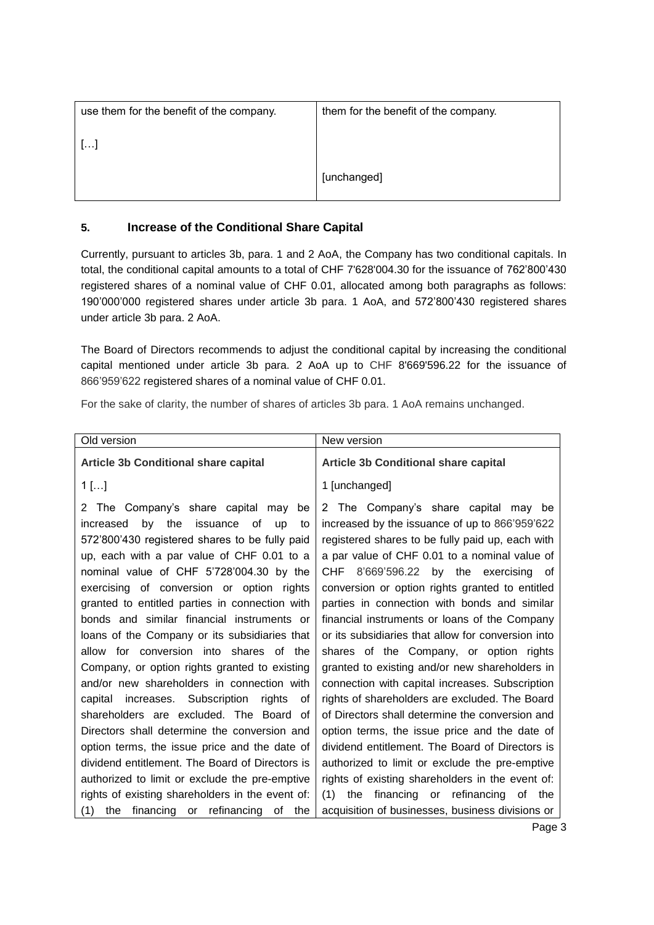| use them for the benefit of the company. | them for the benefit of the company. |
|------------------------------------------|--------------------------------------|
| $\left  \ldots \right $                  |                                      |
|                                          | [unchanged]                          |

#### **5. Increase of the Conditional Share Capital**

Currently, pursuant to articles 3b, para. 1 and 2 AoA, the Company has two conditional capitals. In total, the conditional capital amounts to a total of CHF 7'628'004.30 for the issuance of 762'800'430 registered shares of a nominal value of CHF 0.01, allocated among both paragraphs as follows: 190'000'000 registered shares under article 3b para. 1 AoA, and 572'800'430 registered shares under article 3b para. 2 AoA.

The Board of Directors recommends to adjust the conditional capital by increasing the conditional capital mentioned under article 3b para. 2 AoA up to CHF 8'669'596.22 for the issuance of 866'959'622 registered shares of a nominal value of CHF 0.01.

For the sake of clarity, the number of shares of articles 3b para. 1 AoA remains unchanged.

| Old version                                                                                                                                                                                                                                                                                                                                                                                                                                                                                                                                                                                                                                                                                                           | New version                                                                                                                                                                                                                                                                                                                                                                                                                                                                                                                                                                                                                                                                                                                                          |
|-----------------------------------------------------------------------------------------------------------------------------------------------------------------------------------------------------------------------------------------------------------------------------------------------------------------------------------------------------------------------------------------------------------------------------------------------------------------------------------------------------------------------------------------------------------------------------------------------------------------------------------------------------------------------------------------------------------------------|------------------------------------------------------------------------------------------------------------------------------------------------------------------------------------------------------------------------------------------------------------------------------------------------------------------------------------------------------------------------------------------------------------------------------------------------------------------------------------------------------------------------------------------------------------------------------------------------------------------------------------------------------------------------------------------------------------------------------------------------------|
| <b>Article 3b Conditional share capital</b>                                                                                                                                                                                                                                                                                                                                                                                                                                                                                                                                                                                                                                                                           | <b>Article 3b Conditional share capital</b>                                                                                                                                                                                                                                                                                                                                                                                                                                                                                                                                                                                                                                                                                                          |
| $1$ []                                                                                                                                                                                                                                                                                                                                                                                                                                                                                                                                                                                                                                                                                                                | 1 [unchanged]                                                                                                                                                                                                                                                                                                                                                                                                                                                                                                                                                                                                                                                                                                                                        |
| The Company's share capital may be<br>2<br>by the issuance of up<br>increased<br>to<br>572'800'430 registered shares to be fully paid<br>up, each with a par value of CHF 0.01 to a<br>nominal value of CHF 5'728'004.30 by the<br>exercising of conversion or option rights<br>granted to entitled parties in connection with<br>bonds and similar financial instruments or<br>loans of the Company or its subsidiaries that<br>allow for conversion into shares of the<br>Company, or option rights granted to existing<br>and/or new shareholders in connection with<br>capital increases. Subscription<br>rights<br>οf<br>shareholders are excluded. The Board of<br>Directors shall determine the conversion and | 2 The Company's share capital may be<br>increased by the issuance of up to 866'959'622<br>registered shares to be fully paid up, each with<br>a par value of CHF 0.01 to a nominal value of<br>CHF 8'669'596.22 by the exercising of<br>conversion or option rights granted to entitled<br>parties in connection with bonds and similar<br>financial instruments or loans of the Company<br>or its subsidiaries that allow for conversion into<br>shares of the Company, or option rights<br>granted to existing and/or new shareholders in<br>connection with capital increases. Subscription<br>rights of shareholders are excluded. The Board<br>of Directors shall determine the conversion and<br>option terms, the issue price and the date of |
| option terms, the issue price and the date of                                                                                                                                                                                                                                                                                                                                                                                                                                                                                                                                                                                                                                                                         | dividend entitlement. The Board of Directors is                                                                                                                                                                                                                                                                                                                                                                                                                                                                                                                                                                                                                                                                                                      |
| dividend entitlement. The Board of Directors is                                                                                                                                                                                                                                                                                                                                                                                                                                                                                                                                                                                                                                                                       | authorized to limit or exclude the pre-emptive                                                                                                                                                                                                                                                                                                                                                                                                                                                                                                                                                                                                                                                                                                       |
| authorized to limit or exclude the pre-emptive                                                                                                                                                                                                                                                                                                                                                                                                                                                                                                                                                                                                                                                                        | rights of existing shareholders in the event of:                                                                                                                                                                                                                                                                                                                                                                                                                                                                                                                                                                                                                                                                                                     |
| rights of existing shareholders in the event of:                                                                                                                                                                                                                                                                                                                                                                                                                                                                                                                                                                                                                                                                      | the financing or refinancing of the<br>(1)                                                                                                                                                                                                                                                                                                                                                                                                                                                                                                                                                                                                                                                                                                           |
| financing or refinancing of<br>the<br>(1)<br>the                                                                                                                                                                                                                                                                                                                                                                                                                                                                                                                                                                                                                                                                      | acquisition of businesses, business divisions or                                                                                                                                                                                                                                                                                                                                                                                                                                                                                                                                                                                                                                                                                                     |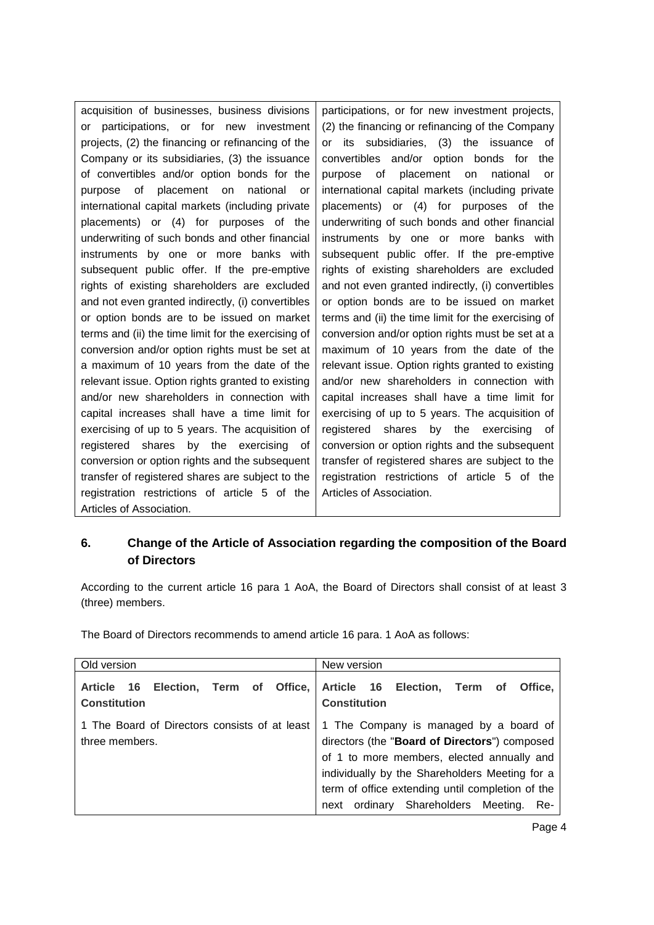| acquisition of businesses, business divisions       | participations, or for new investment projects,     |
|-----------------------------------------------------|-----------------------------------------------------|
| participations, or for new investment<br>or         | (2) the financing or refinancing of the Company     |
| projects, (2) the financing or refinancing of the   | its subsidiaries, (3) the issuance<br>or<br>οf      |
| Company or its subsidiaries, (3) the issuance       | convertibles and/or option bonds for<br>the         |
| of convertibles and/or option bonds for the         | purpose of<br>placement on<br>national<br>or        |
| placement on national<br>of<br>purpose<br><b>or</b> | international capital markets (including private    |
| international capital markets (including private    | placements) or (4) for purposes of the              |
| placements) or (4) for purposes of the              | underwriting of such bonds and other financial      |
| underwriting of such bonds and other financial      | instruments by one or more banks with               |
| instruments by one or more banks with               | subsequent public offer. If the pre-emptive         |
| subsequent public offer. If the pre-emptive         | rights of existing shareholders are excluded        |
| rights of existing shareholders are excluded        | and not even granted indirectly, (i) convertibles   |
| and not even granted indirectly, (i) convertibles   | or option bonds are to be issued on market          |
| or option bonds are to be issued on market          | terms and (ii) the time limit for the exercising of |
| terms and (ii) the time limit for the exercising of | conversion and/or option rights must be set at a    |
| conversion and/or option rights must be set at      | maximum of 10 years from the date of the            |
| a maximum of 10 years from the date of the          | relevant issue. Option rights granted to existing   |
| relevant issue. Option rights granted to existing   | and/or new shareholders in connection with          |
| and/or new shareholders in connection with          | capital increases shall have a time limit for       |
| capital increases shall have a time limit for       | exercising of up to 5 years. The acquisition of     |
| exercising of up to 5 years. The acquisition of     | registered shares<br>by the exercising<br>0f        |
| registered shares by the exercising<br>οf           | conversion or option rights and the subsequent      |
| conversion or option rights and the subsequent      | transfer of registered shares are subject to the    |
| transfer of registered shares are subject to the    | registration restrictions of article 5 of the       |
| registration restrictions of article 5 of the       | Articles of Association.                            |
| Articles of Association.                            |                                                     |

## **6. Change of the Article of Association regarding the composition of the Board of Directors**

According to the current article 16 para 1 AoA, the Board of Directors shall consist of at least 3 (three) members.

The Board of Directors recommends to amend article 16 para. 1 AoA as follows:

| Old version                                                                              | New version                                                                                                                                                                                                                                                                                 |
|------------------------------------------------------------------------------------------|---------------------------------------------------------------------------------------------------------------------------------------------------------------------------------------------------------------------------------------------------------------------------------------------|
| Article 16 Election, Term of Office, Article 16 Election, Term of<br><b>Constitution</b> | Office.<br><b>Constitution</b>                                                                                                                                                                                                                                                              |
| 1 The Board of Directors consists of at least<br>three members.                          | 1 The Company is managed by a board of<br>directors (the "Board of Directors") composed<br>of 1 to more members, elected annually and<br>individually by the Shareholders Meeting for a<br>term of office extending until completion of the<br>next ordinary Shareholders Meeting.<br>- Re- |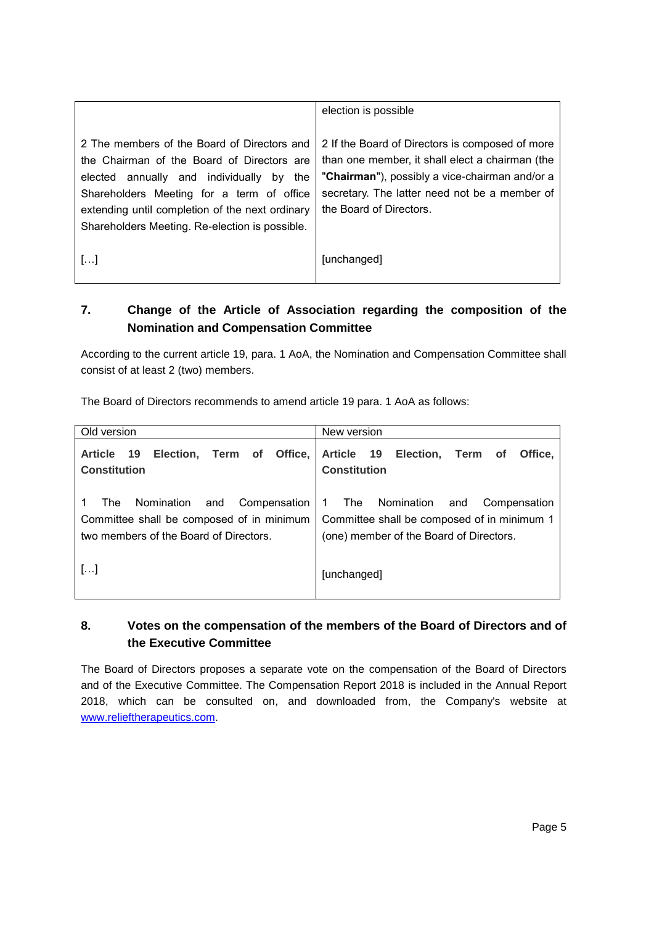|                                                                                                                                                                                                                                                                                            | election is possible                                                                                                                                                                                                             |
|--------------------------------------------------------------------------------------------------------------------------------------------------------------------------------------------------------------------------------------------------------------------------------------------|----------------------------------------------------------------------------------------------------------------------------------------------------------------------------------------------------------------------------------|
| 2 The members of the Board of Directors and<br>the Chairman of the Board of Directors are<br>elected annually and individually by<br>the<br>Shareholders Meeting for a term of office<br>extending until completion of the next ordinary<br>Shareholders Meeting. Re-election is possible. | 2 If the Board of Directors is composed of more<br>than one member, it shall elect a chairman (the<br>"Chairman"), possibly a vice-chairman and/or a<br>secretary. The latter need not be a member of<br>the Board of Directors. |
| $[\ldots]$                                                                                                                                                                                                                                                                                 | [unchanged]                                                                                                                                                                                                                      |

## **7. Change of the Article of Association regarding the composition of the Nomination and Compensation Committee**

According to the current article 19, para. 1 AoA, the Nomination and Compensation Committee shall consist of at least 2 (two) members.

The Board of Directors recommends to amend article 19 para. 1 AoA as follows:

| Old version                                                                                                                       | New version                                                                                                                          |
|-----------------------------------------------------------------------------------------------------------------------------------|--------------------------------------------------------------------------------------------------------------------------------------|
| 19<br>Election, Term of<br>Office.<br><b>Article</b><br><b>Constitution</b>                                                       | Article 19 Election, Term<br>Office.<br>of<br><b>Constitution</b>                                                                    |
| Nomination<br>Compensation<br>and<br>The l<br>Committee shall be composed of in minimum<br>two members of the Board of Directors. | Nomination and<br>Compensation<br>The<br>1<br>Committee shall be composed of in minimum 1<br>(one) member of the Board of Directors. |
| $\left[\ldots\right]$                                                                                                             | [unchanged]                                                                                                                          |

## **8. Votes on the compensation of the members of the Board of Directors and of the Executive Committee**

The Board of Directors proposes a separate vote on the compensation of the Board of Directors and of the Executive Committee. The Compensation Report 2018 is included in the Annual Report 2018, which can be consulted on, and downloaded from, the Company's website at [www.relieftherapeutics.com.](http://www.relieftherapeutics.com/)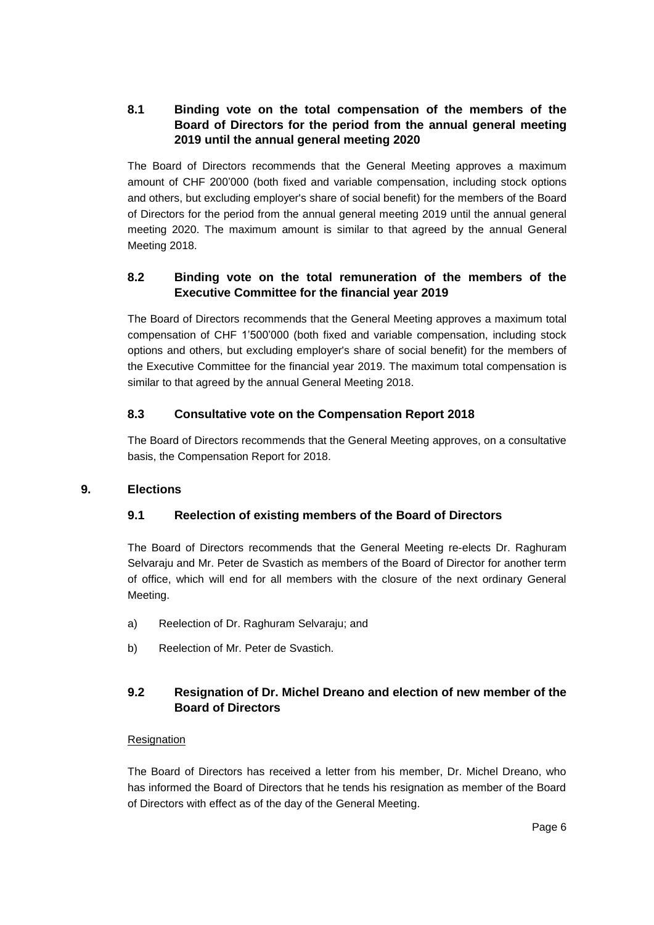### **8.1 Binding vote on the total compensation of the members of the Board of Directors for the period from the annual general meeting 2019 until the annual general meeting 2020**

The Board of Directors recommends that the General Meeting approves a maximum amount of CHF 200'000 (both fixed and variable compensation, including stock options and others, but excluding employer's share of social benefit) for the members of the Board of Directors for the period from the annual general meeting 2019 until the annual general meeting 2020. The maximum amount is similar to that agreed by the annual General Meeting 2018.

#### **8.2 Binding vote on the total remuneration of the members of the Executive Committee for the financial year 2019**

The Board of Directors recommends that the General Meeting approves a maximum total compensation of CHF 1'500'000 (both fixed and variable compensation, including stock options and others, but excluding employer's share of social benefit) for the members of the Executive Committee for the financial year 2019. The maximum total compensation is similar to that agreed by the annual General Meeting 2018.

#### **8.3 Consultative vote on the Compensation Report 2018**

The Board of Directors recommends that the General Meeting approves, on a consultative basis, the Compensation Report for 2018.

#### **9. Elections**

### **9.1 Reelection of existing members of the Board of Directors**

The Board of Directors recommends that the General Meeting re-elects Dr. Raghuram Selvaraju and Mr. Peter de Svastich as members of the Board of Director for another term of office, which will end for all members with the closure of the next ordinary General Meeting.

- a) Reelection of Dr. Raghuram Selvaraju; and
- b) Reelection of Mr. Peter de Svastich.

### **9.2 Resignation of Dr. Michel Dreano and election of new member of the Board of Directors**

#### Resignation

The Board of Directors has received a letter from his member, Dr. Michel Dreano, who has informed the Board of Directors that he tends his resignation as member of the Board of Directors with effect as of the day of the General Meeting.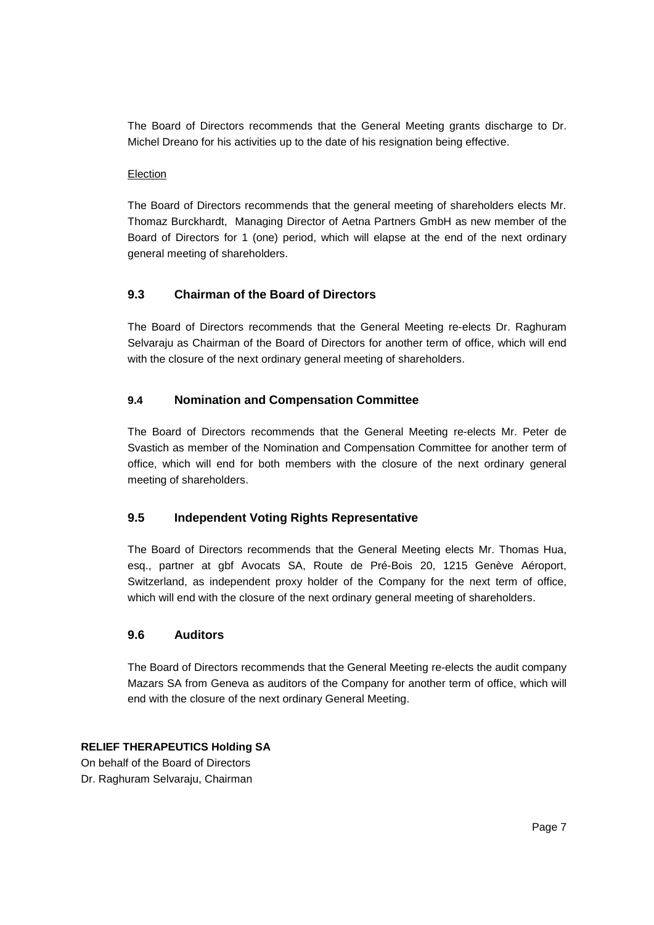The Board of Directors recommends that the General Meeting grants discharge to Dr. Michel Dreano for his activities up to the date of his resignation being effective.

#### Election

The Board of Directors recommends that the general meeting of shareholders elects Mr. Thomaz Burckhardt, Managing Director of Aetna Partners GmbH as new member of the Board of Directors for 1 (one) period, which will elapse at the end of the next ordinary general meeting of shareholders.

#### **9.3 Chairman of the Board of Directors**

The Board of Directors recommends that the General Meeting re-elects Dr. Raghuram Selvaraju as Chairman of the Board of Directors for another term of office, which will end with the closure of the next ordinary general meeting of shareholders.

#### **9.4 Nomination and Compensation Committee**

The Board of Directors recommends that the General Meeting re-elects Mr. Peter de Svastich as member of the Nomination and Compensation Committee for another term of office, which will end for both members with the closure of the next ordinary general meeting of shareholders.

#### **9.5 Independent Voting Rights Representative**

The Board of Directors recommends that the General Meeting elects Mr. Thomas Hua, esq., partner at gbf Avocats SA, Route de Pré-Bois 20, 1215 Genève Aéroport, Switzerland, as independent proxy holder of the Company for the next term of office, which will end with the closure of the next ordinary general meeting of shareholders.

#### **9.6 Auditors**

The Board of Directors recommends that the General Meeting re-elects the audit company Mazars SA from Geneva as auditors of the Company for another term of office, which will end with the closure of the next ordinary General Meeting.

#### **RELIEF THERAPEUTICS Holding SA**

On behalf of the Board of Directors Dr. Raghuram Selvaraju, Chairman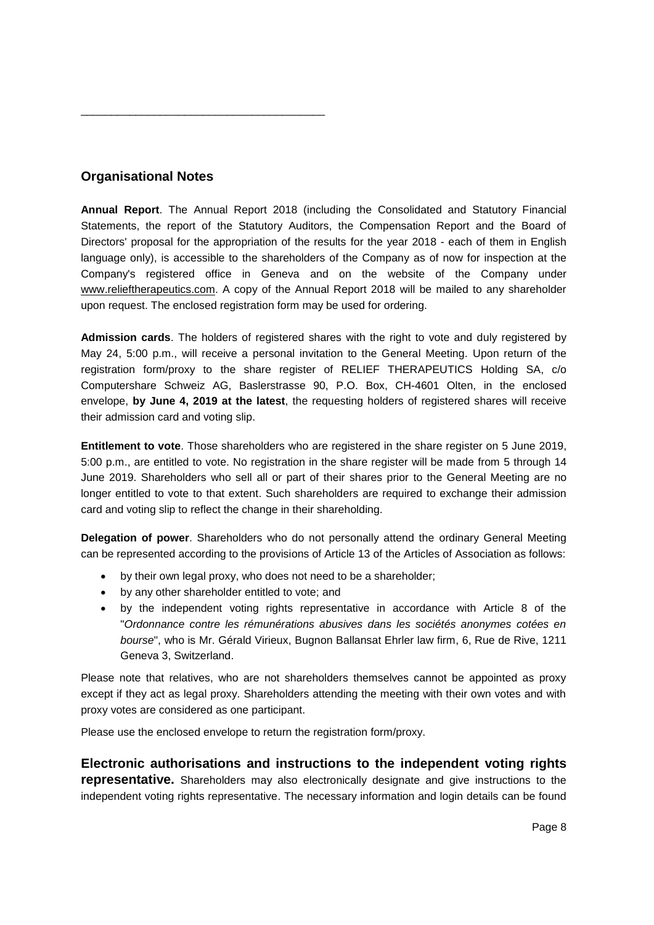### **Organisational Notes**

\_\_\_\_\_\_\_\_\_\_\_\_\_\_\_\_\_\_\_\_\_\_\_\_\_\_\_\_\_\_\_\_\_\_\_\_\_\_\_\_

**Annual Report**. The Annual Report 2018 (including the Consolidated and Statutory Financial Statements, the report of the Statutory Auditors, the Compensation Report and the Board of Directors' proposal for the appropriation of the results for the year 2018 - each of them in English language only), is accessible to the shareholders of the Company as of now for inspection at the Company's registered office in Geneva and on the website of the Company under www.relieftherapeutics.com. A copy of the Annual Report 2018 will be mailed to any shareholder upon request. The enclosed registration form may be used for ordering.

**Admission cards**. The holders of registered shares with the right to vote and duly registered by May 24, 5:00 p.m., will receive a personal invitation to the General Meeting. Upon return of the registration form/proxy to the share register of RELIEF THERAPEUTICS Holding SA, c/o Computershare Schweiz AG, Baslerstrasse 90, P.O. Box, CH-4601 Olten, in the enclosed envelope, **by June 4, 2019 at the latest**, the requesting holders of registered shares will receive their admission card and voting slip.

**Entitlement to vote**. Those shareholders who are registered in the share register on 5 June 2019, 5:00 p.m., are entitled to vote. No registration in the share register will be made from 5 through 14 June 2019. Shareholders who sell all or part of their shares prior to the General Meeting are no longer entitled to vote to that extent. Such shareholders are required to exchange their admission card and voting slip to reflect the change in their shareholding.

**Delegation of power**. Shareholders who do not personally attend the ordinary General Meeting can be represented according to the provisions of Article 13 of the Articles of Association as follows:

- by their own legal proxy, who does not need to be a shareholder;
- by any other shareholder entitled to vote; and
- by the independent voting rights representative in accordance with Article 8 of the "*Ordonnance contre les rémunérations abusives dans les sociétés anonymes cotées en bourse*", who is Mr. Gérald Virieux, Bugnon Ballansat Ehrler law firm, 6, Rue de Rive, 1211 Geneva 3, Switzerland.

Please note that relatives, who are not shareholders themselves cannot be appointed as proxy except if they act as legal proxy. Shareholders attending the meeting with their own votes and with proxy votes are considered as one participant.

Please use the enclosed envelope to return the registration form/proxy.

**Electronic authorisations and instructions to the independent voting rights representative.** Shareholders may also electronically designate and give instructions to the independent voting rights representative. The necessary information and login details can be found